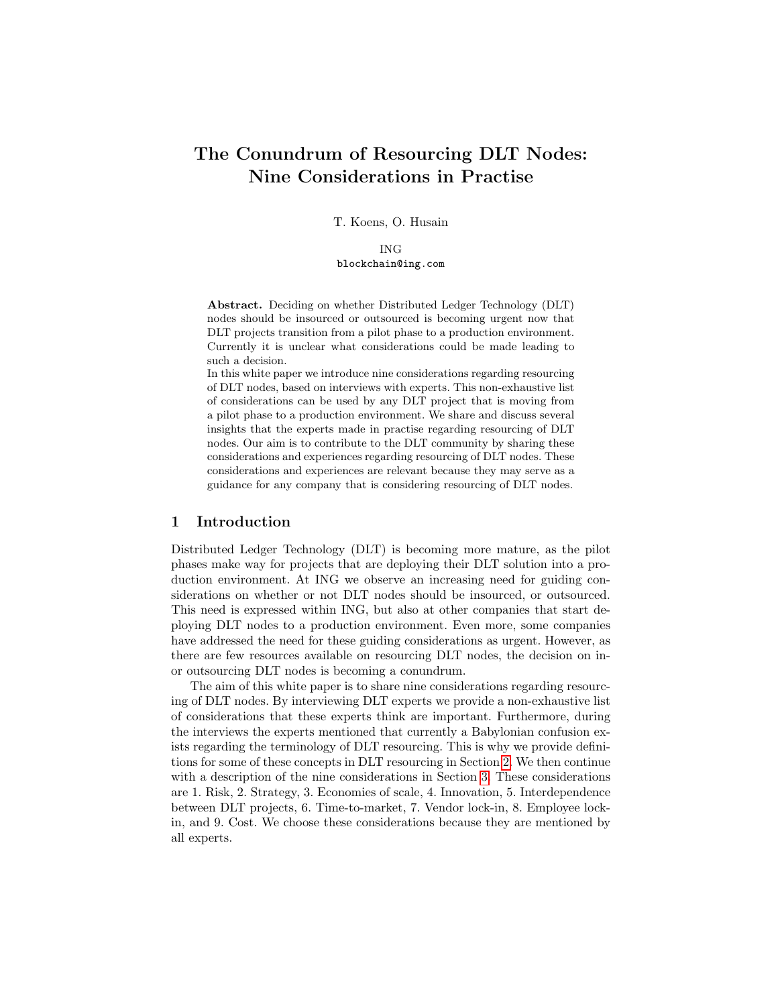# The Conundrum of Resourcing DLT Nodes: Nine Considerations in Practise

T. Koens, O. Husain

ING blockchain@ing.com

Abstract. Deciding on whether Distributed Ledger Technology (DLT) nodes should be insourced or outsourced is becoming urgent now that DLT projects transition from a pilot phase to a production environment. Currently it is unclear what considerations could be made leading to such a decision.

In this white paper we introduce nine considerations regarding resourcing of DLT nodes, based on interviews with experts. This non-exhaustive list of considerations can be used by any DLT project that is moving from a pilot phase to a production environment. We share and discuss several insights that the experts made in practise regarding resourcing of DLT nodes. Our aim is to contribute to the DLT community by sharing these considerations and experiences regarding resourcing of DLT nodes. These considerations and experiences are relevant because they may serve as a guidance for any company that is considering resourcing of DLT nodes.

## <span id="page-0-0"></span>1 Introduction

Distributed Ledger Technology (DLT) is becoming more mature, as the pilot phases make way for projects that are deploying their DLT solution into a production environment. At ING we observe an increasing need for guiding considerations on whether or not DLT nodes should be insourced, or outsourced. This need is expressed within ING, but also at other companies that start deploying DLT nodes to a production environment. Even more, some companies have addressed the need for these guiding considerations as urgent. However, as there are few resources available on resourcing DLT nodes, the decision on inor outsourcing DLT nodes is becoming a conundrum.

The aim of this white paper is to share nine considerations regarding resourcing of DLT nodes. By interviewing DLT experts we provide a non-exhaustive list of considerations that these experts think are important. Furthermore, during the interviews the experts mentioned that currently a Babylonian confusion exists regarding the terminology of DLT resourcing. This is why we provide definitions for some of these concepts in DLT resourcing in Section [2.](#page-1-0) We then continue with a description of the nine considerations in Section [3.](#page-2-0) These considerations are 1. Risk, 2. Strategy, 3. Economies of scale, 4. Innovation, 5. Interdependence between DLT projects, 6. Time-to-market, 7. Vendor lock-in, 8. Employee lockin, and 9. Cost. We choose these considerations because they are mentioned by all experts.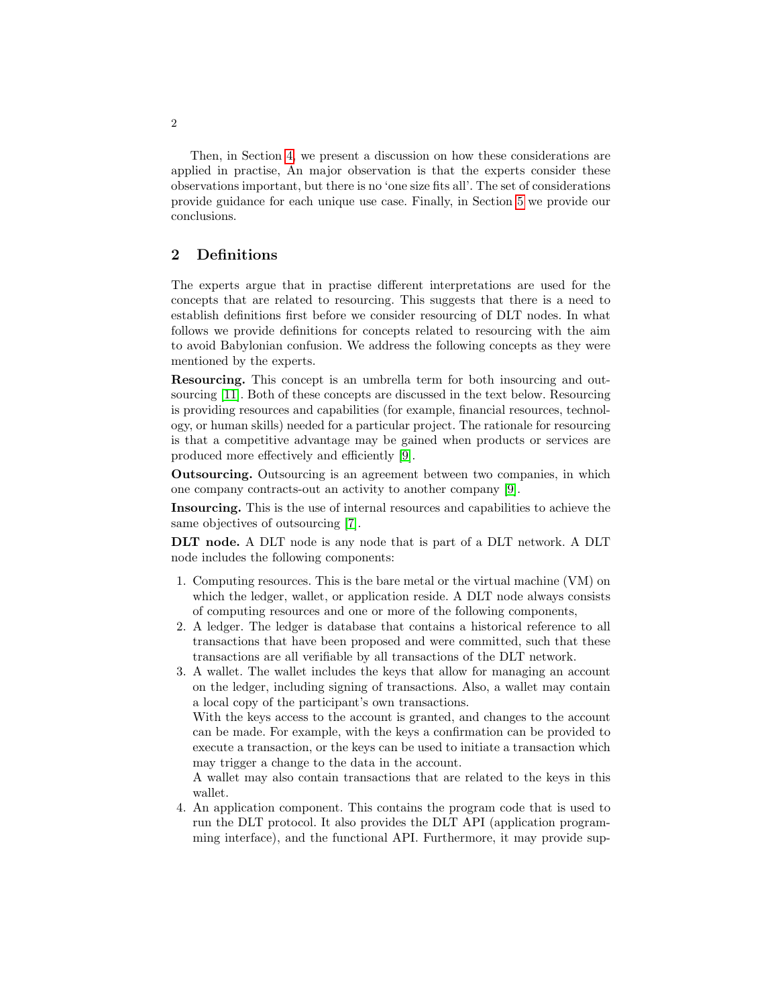Then, in Section [4,](#page-6-0) we present a discussion on how these considerations are applied in practise, An major observation is that the experts consider these observations important, but there is no 'one size fits all'. The set of considerations provide guidance for each unique use case. Finally, in Section [5](#page-7-0) we provide our conclusions.

# <span id="page-1-0"></span>2 Definitions

The experts argue that in practise different interpretations are used for the concepts that are related to resourcing. This suggests that there is a need to establish definitions first before we consider resourcing of DLT nodes. In what follows we provide definitions for concepts related to resourcing with the aim to avoid Babylonian confusion. We address the following concepts as they were mentioned by the experts.

Resourcing. This concept is an umbrella term for both insourcing and outsourcing [\[11\]](#page-8-0). Both of these concepts are discussed in the text below. Resourcing is providing resources and capabilities (for example, financial resources, technology, or human skills) needed for a particular project. The rationale for resourcing is that a competitive advantage may be gained when products or services are produced more effectively and efficiently [\[9\]](#page-8-1).

Outsourcing. Outsourcing is an agreement between two companies, in which one company contracts-out an activity to another company [\[9\]](#page-8-1).

Insourcing. This is the use of internal resources and capabilities to achieve the same objectives of outsourcing [\[7\]](#page-8-2).

DLT node. A DLT node is any node that is part of a DLT network. A DLT node includes the following components:

- 1. Computing resources. This is the bare metal or the virtual machine (VM) on which the ledger, wallet, or application reside. A DLT node always consists of computing resources and one or more of the following components,
- 2. A ledger. The ledger is database that contains a historical reference to all transactions that have been proposed and were committed, such that these transactions are all verifiable by all transactions of the DLT network.
- 3. A wallet. The wallet includes the keys that allow for managing an account on the ledger, including signing of transactions. Also, a wallet may contain a local copy of the participant's own transactions.

With the keys access to the account is granted, and changes to the account can be made. For example, with the keys a confirmation can be provided to execute a transaction, or the keys can be used to initiate a transaction which may trigger a change to the data in the account.

A wallet may also contain transactions that are related to the keys in this wallet.

4. An application component. This contains the program code that is used to run the DLT protocol. It also provides the DLT API (application programming interface), and the functional API. Furthermore, it may provide sup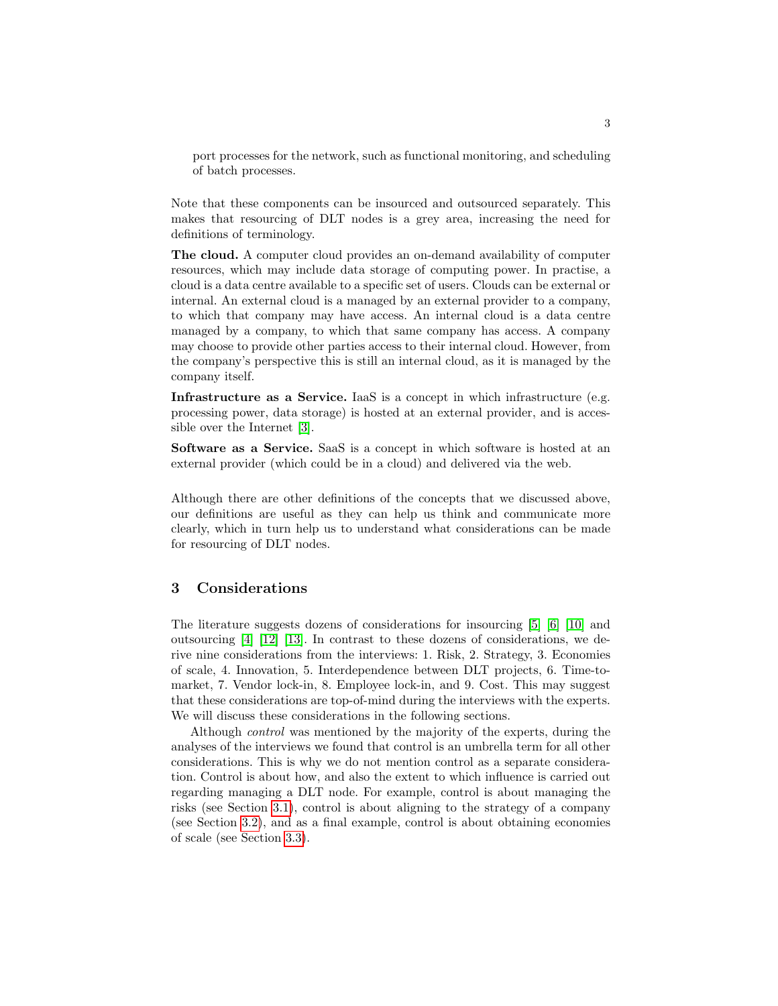port processes for the network, such as functional monitoring, and scheduling of batch processes.

Note that these components can be insourced and outsourced separately. This makes that resourcing of DLT nodes is a grey area, increasing the need for definitions of terminology.

The cloud. A computer cloud provides an on-demand availability of computer resources, which may include data storage of computing power. In practise, a cloud is a data centre available to a specific set of users. Clouds can be external or internal. An external cloud is a managed by an external provider to a company, to which that company may have access. An internal cloud is a data centre managed by a company, to which that same company has access. A company may choose to provide other parties access to their internal cloud. However, from the company's perspective this is still an internal cloud, as it is managed by the company itself.

Infrastructure as a Service. IaaS is a concept in which infrastructure (e.g. processing power, data storage) is hosted at an external provider, and is accessible over the Internet [\[3\]](#page-8-3).

Software as a Service. SaaS is a concept in which software is hosted at an external provider (which could be in a cloud) and delivered via the web.

Although there are other definitions of the concepts that we discussed above, our definitions are useful as they can help us think and communicate more clearly, which in turn help us to understand what considerations can be made for resourcing of DLT nodes.

# <span id="page-2-0"></span>3 Considerations

The literature suggests dozens of considerations for insourcing [\[5\]](#page-8-4) [\[6\]](#page-8-5) [\[10\]](#page-8-6) and outsourcing [\[4\]](#page-8-7) [\[12\]](#page-8-8) [\[13\]](#page-8-9). In contrast to these dozens of considerations, we derive nine considerations from the interviews: 1. Risk, 2. Strategy, 3. Economies of scale, 4. Innovation, 5. Interdependence between DLT projects, 6. Time-tomarket, 7. Vendor lock-in, 8. Employee lock-in, and 9. Cost. This may suggest that these considerations are top-of-mind during the interviews with the experts. We will discuss these considerations in the following sections.

Although control was mentioned by the majority of the experts, during the analyses of the interviews we found that control is an umbrella term for all other considerations. This is why we do not mention control as a separate consideration. Control is about how, and also the extent to which influence is carried out regarding managing a DLT node. For example, control is about managing the risks (see Section [3.1\)](#page-3-0), control is about aligning to the strategy of a company (see Section [3.2\)](#page-3-1), and as a final example, control is about obtaining economies of scale (see Section [3.3\)](#page-3-2).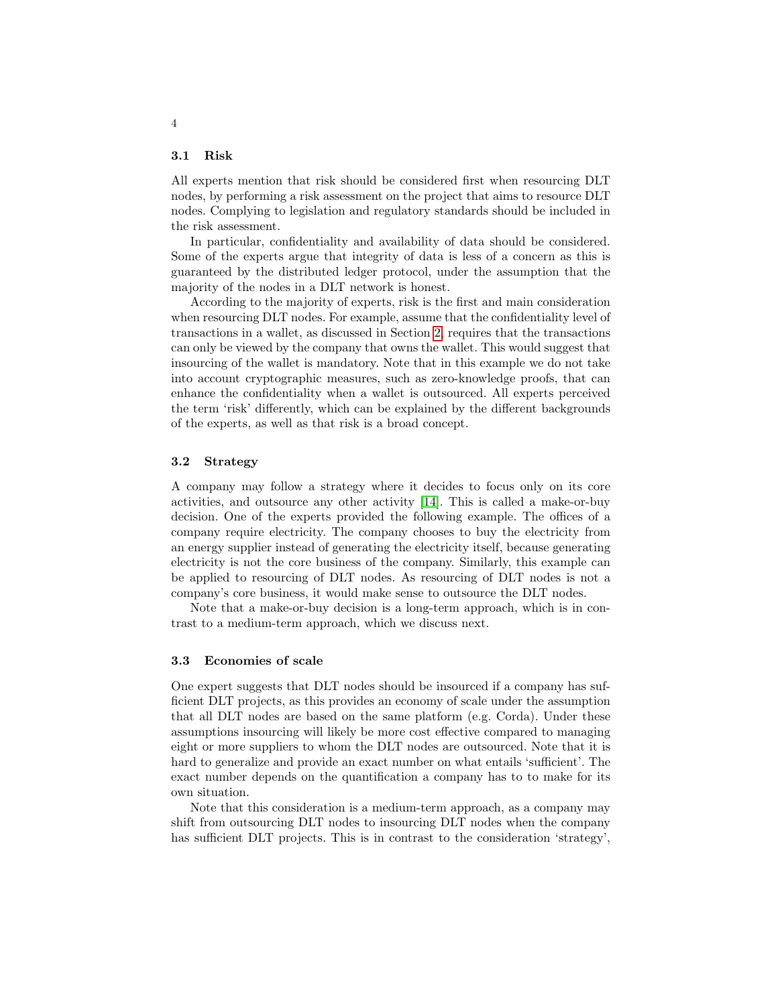#### <span id="page-3-0"></span>3.1 Risk

All experts mention that risk should be considered first when resourcing DLT nodes, by performing a risk assessment on the project that aims to resource DLT nodes. Complying to legislation and regulatory standards should be included in the risk assessment.

In particular, confidentiality and availability of data should be considered. Some of the experts argue that integrity of data is less of a concern as this is guaranteed by the distributed ledger protocol, under the assumption that the majority of the nodes in a DLT network is honest.

According to the majority of experts, risk is the first and main consideration when resourcing DLT nodes. For example, assume that the confidentiality level of transactions in a wallet, as discussed in Section [2,](#page-1-0) requires that the transactions can only be viewed by the company that owns the wallet. This would suggest that insourcing of the wallet is mandatory. Note that in this example we do not take into account cryptographic measures, such as zero-knowledge proofs, that can enhance the confidentiality when a wallet is outsourced. All experts perceived the term 'risk' differently, which can be explained by the different backgrounds of the experts, as well as that risk is a broad concept.

#### <span id="page-3-1"></span>3.2 Strategy

A company may follow a strategy where it decides to focus only on its core activities, and outsource any other activity [\[14\]](#page-8-10). This is called a make-or-buy decision. One of the experts provided the following example. The offices of a company require electricity. The company chooses to buy the electricity from an energy supplier instead of generating the electricity itself, because generating electricity is not the core business of the company. Similarly, this example can be applied to resourcing of DLT nodes. As resourcing of DLT nodes is not a company's core business, it would make sense to outsource the DLT nodes.

Note that a make-or-buy decision is a long-term approach, which is in contrast to a medium-term approach, which we discuss next.

#### <span id="page-3-2"></span>3.3 Economies of scale

One expert suggests that DLT nodes should be insourced if a company has sufficient DLT projects, as this provides an economy of scale under the assumption that all DLT nodes are based on the same platform (e.g. Corda). Under these assumptions insourcing will likely be more cost effective compared to managing eight or more suppliers to whom the DLT nodes are outsourced. Note that it is hard to generalize and provide an exact number on what entails 'sufficient'. The exact number depends on the quantification a company has to to make for its own situation.

Note that this consideration is a medium-term approach, as a company may shift from outsourcing DLT nodes to insourcing DLT nodes when the company has sufficient DLT projects. This is in contrast to the consideration 'strategy',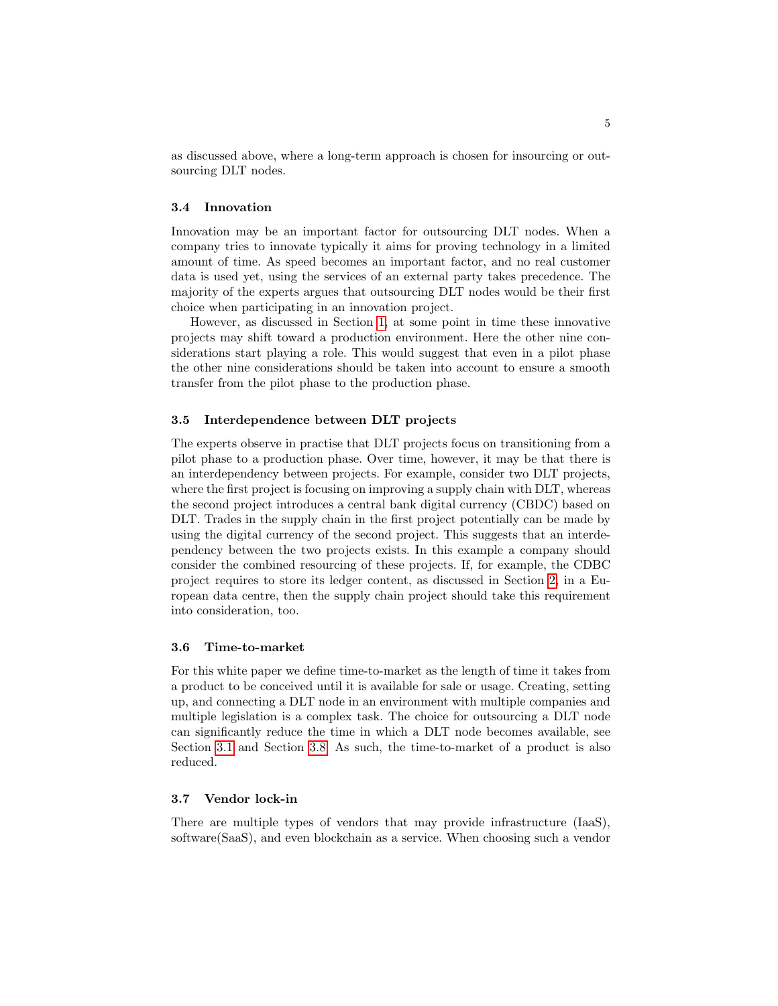as discussed above, where a long-term approach is chosen for insourcing or outsourcing DLT nodes.

## 3.4 Innovation

Innovation may be an important factor for outsourcing DLT nodes. When a company tries to innovate typically it aims for proving technology in a limited amount of time. As speed becomes an important factor, and no real customer data is used yet, using the services of an external party takes precedence. The majority of the experts argues that outsourcing DLT nodes would be their first choice when participating in an innovation project.

However, as discussed in Section [1,](#page-0-0) at some point in time these innovative projects may shift toward a production environment. Here the other nine considerations start playing a role. This would suggest that even in a pilot phase the other nine considerations should be taken into account to ensure a smooth transfer from the pilot phase to the production phase.

### 3.5 Interdependence between DLT projects

The experts observe in practise that DLT projects focus on transitioning from a pilot phase to a production phase. Over time, however, it may be that there is an interdependency between projects. For example, consider two DLT projects, where the first project is focusing on improving a supply chain with DLT, whereas the second project introduces a central bank digital currency (CBDC) based on DLT. Trades in the supply chain in the first project potentially can be made by using the digital currency of the second project. This suggests that an interdependency between the two projects exists. In this example a company should consider the combined resourcing of these projects. If, for example, the CDBC project requires to store its ledger content, as discussed in Section [2,](#page-1-0) in a European data centre, then the supply chain project should take this requirement into consideration, too.

#### 3.6 Time-to-market

For this white paper we define time-to-market as the length of time it takes from a product to be conceived until it is available for sale or usage. Creating, setting up, and connecting a DLT node in an environment with multiple companies and multiple legislation is a complex task. The choice for outsourcing a DLT node can significantly reduce the time in which a DLT node becomes available, see Section [3.1](#page-3-0) and Section [3.8.](#page-5-0) As such, the time-to-market of a product is also reduced.

#### <span id="page-4-0"></span>3.7 Vendor lock-in

There are multiple types of vendors that may provide infrastructure (IaaS), software(SaaS), and even blockchain as a service. When choosing such a vendor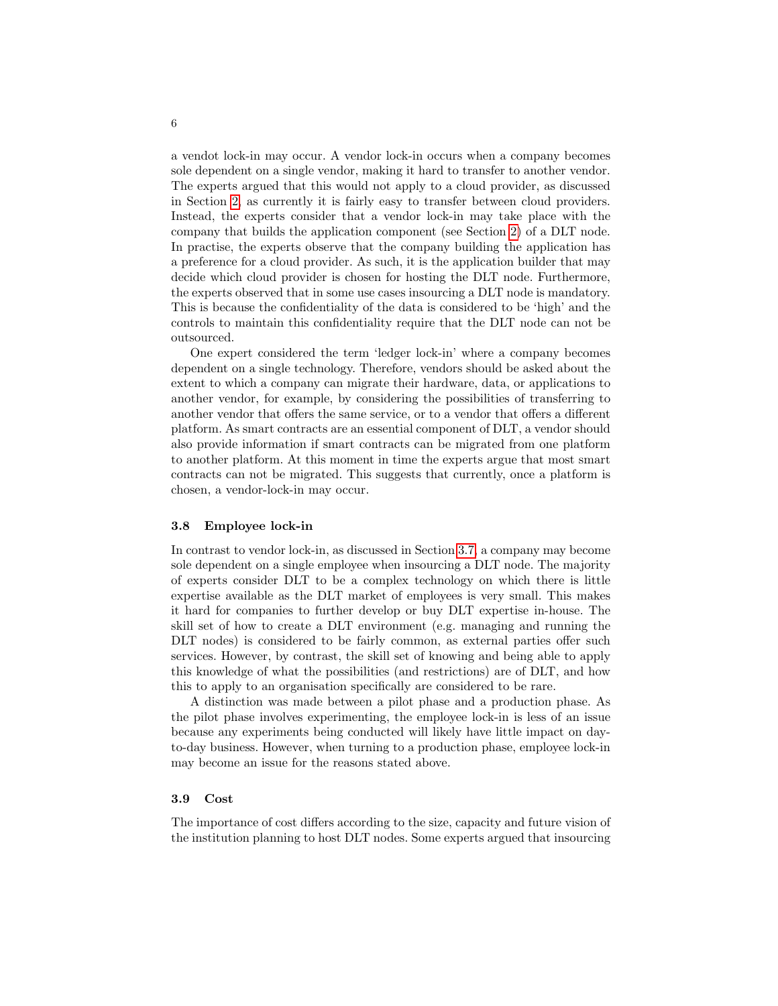a vendot lock-in may occur. A vendor lock-in occurs when a company becomes sole dependent on a single vendor, making it hard to transfer to another vendor. The experts argued that this would not apply to a cloud provider, as discussed in Section [2,](#page-1-0) as currently it is fairly easy to transfer between cloud providers. Instead, the experts consider that a vendor lock-in may take place with the company that builds the application component (see Section [2\)](#page-1-0) of a DLT node. In practise, the experts observe that the company building the application has a preference for a cloud provider. As such, it is the application builder that may decide which cloud provider is chosen for hosting the DLT node. Furthermore, the experts observed that in some use cases insourcing a DLT node is mandatory. This is because the confidentiality of the data is considered to be 'high' and the controls to maintain this confidentiality require that the DLT node can not be outsourced.

One expert considered the term 'ledger lock-in' where a company becomes dependent on a single technology. Therefore, vendors should be asked about the extent to which a company can migrate their hardware, data, or applications to another vendor, for example, by considering the possibilities of transferring to another vendor that offers the same service, or to a vendor that offers a different platform. As smart contracts are an essential component of DLT, a vendor should also provide information if smart contracts can be migrated from one platform to another platform. At this moment in time the experts argue that most smart contracts can not be migrated. This suggests that currently, once a platform is chosen, a vendor-lock-in may occur.

#### <span id="page-5-0"></span>3.8 Employee lock-in

In contrast to vendor lock-in, as discussed in Section [3.7,](#page-4-0) a company may become sole dependent on a single employee when insourcing a DLT node. The majority of experts consider DLT to be a complex technology on which there is little expertise available as the DLT market of employees is very small. This makes it hard for companies to further develop or buy DLT expertise in-house. The skill set of how to create a DLT environment (e.g. managing and running the DLT nodes) is considered to be fairly common, as external parties offer such services. However, by contrast, the skill set of knowing and being able to apply this knowledge of what the possibilities (and restrictions) are of DLT, and how this to apply to an organisation specifically are considered to be rare.

A distinction was made between a pilot phase and a production phase. As the pilot phase involves experimenting, the employee lock-in is less of an issue because any experiments being conducted will likely have little impact on dayto-day business. However, when turning to a production phase, employee lock-in may become an issue for the reasons stated above.

#### 3.9 Cost

The importance of cost differs according to the size, capacity and future vision of the institution planning to host DLT nodes. Some experts argued that insourcing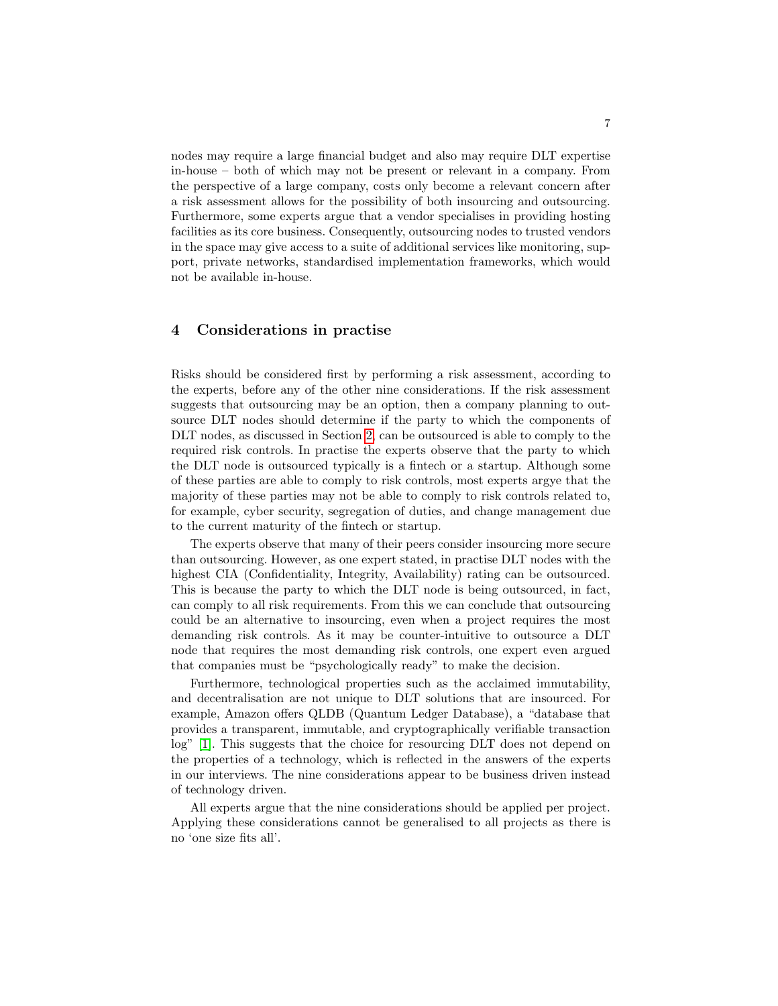nodes may require a large financial budget and also may require DLT expertise in-house – both of which may not be present or relevant in a company. From the perspective of a large company, costs only become a relevant concern after a risk assessment allows for the possibility of both insourcing and outsourcing. Furthermore, some experts argue that a vendor specialises in providing hosting facilities as its core business. Consequently, outsourcing nodes to trusted vendors in the space may give access to a suite of additional services like monitoring, support, private networks, standardised implementation frameworks, which would not be available in-house.

## <span id="page-6-0"></span>4 Considerations in practise

Risks should be considered first by performing a risk assessment, according to the experts, before any of the other nine considerations. If the risk assessment suggests that outsourcing may be an option, then a company planning to outsource DLT nodes should determine if the party to which the components of DLT nodes, as discussed in Section [2,](#page-1-0) can be outsourced is able to comply to the required risk controls. In practise the experts observe that the party to which the DLT node is outsourced typically is a fintech or a startup. Although some of these parties are able to comply to risk controls, most experts argye that the majority of these parties may not be able to comply to risk controls related to, for example, cyber security, segregation of duties, and change management due to the current maturity of the fintech or startup.

The experts observe that many of their peers consider insourcing more secure than outsourcing. However, as one expert stated, in practise DLT nodes with the highest CIA (Confidentiality, Integrity, Availability) rating can be outsourced. This is because the party to which the DLT node is being outsourced, in fact, can comply to all risk requirements. From this we can conclude that outsourcing could be an alternative to insourcing, even when a project requires the most demanding risk controls. As it may be counter-intuitive to outsource a DLT node that requires the most demanding risk controls, one expert even argued that companies must be "psychologically ready" to make the decision.

Furthermore, technological properties such as the acclaimed immutability, and decentralisation are not unique to DLT solutions that are insourced. For example, Amazon offers QLDB (Quantum Ledger Database), a "database that provides a transparent, immutable, and cryptographically verifiable transaction log" [\[1\]](#page-8-11). This suggests that the choice for resourcing DLT does not depend on the properties of a technology, which is reflected in the answers of the experts in our interviews. The nine considerations appear to be business driven instead of technology driven.

All experts argue that the nine considerations should be applied per project. Applying these considerations cannot be generalised to all projects as there is no 'one size fits all'.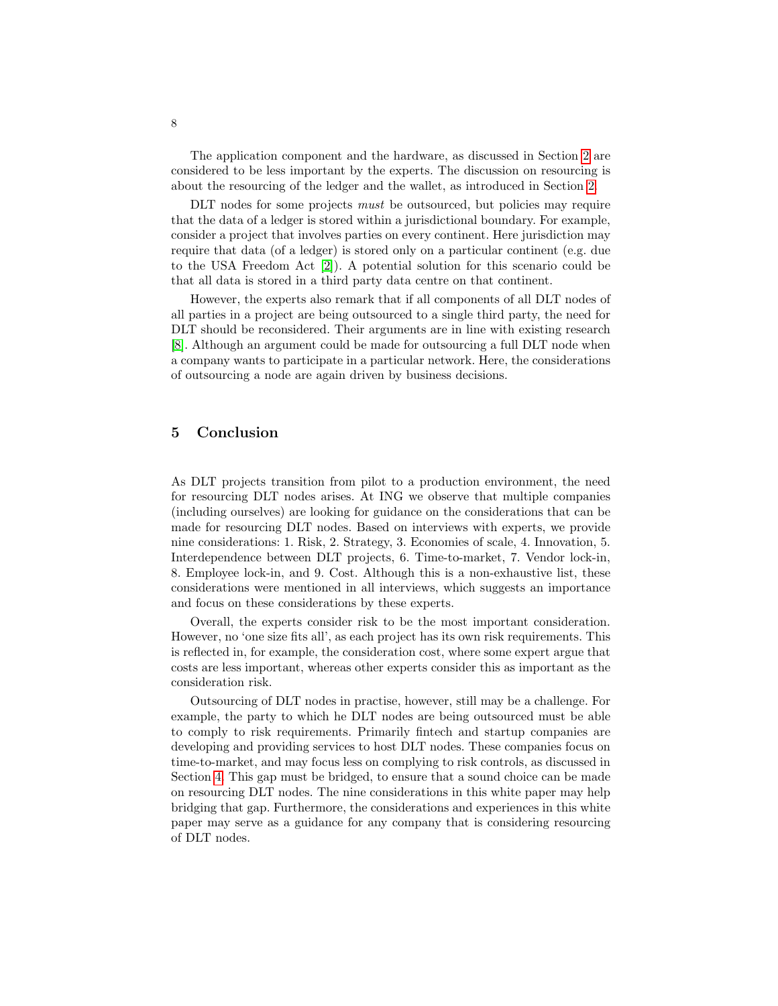The application component and the hardware, as discussed in Section [2](#page-1-0) are considered to be less important by the experts. The discussion on resourcing is about the resourcing of the ledger and the wallet, as introduced in Section [2.](#page-1-0)

DLT nodes for some projects *must* be outsourced, but policies may require that the data of a ledger is stored within a jurisdictional boundary. For example, consider a project that involves parties on every continent. Here jurisdiction may require that data (of a ledger) is stored only on a particular continent (e.g. due to the USA Freedom Act [\[2\]](#page-8-12)). A potential solution for this scenario could be that all data is stored in a third party data centre on that continent.

However, the experts also remark that if all components of all DLT nodes of all parties in a project are being outsourced to a single third party, the need for DLT should be reconsidered. Their arguments are in line with existing research [\[8\]](#page-8-13). Although an argument could be made for outsourcing a full DLT node when a company wants to participate in a particular network. Here, the considerations of outsourcing a node are again driven by business decisions.

# <span id="page-7-0"></span>5 Conclusion

As DLT projects transition from pilot to a production environment, the need for resourcing DLT nodes arises. At ING we observe that multiple companies (including ourselves) are looking for guidance on the considerations that can be made for resourcing DLT nodes. Based on interviews with experts, we provide nine considerations: 1. Risk, 2. Strategy, 3. Economies of scale, 4. Innovation, 5. Interdependence between DLT projects, 6. Time-to-market, 7. Vendor lock-in, 8. Employee lock-in, and 9. Cost. Although this is a non-exhaustive list, these considerations were mentioned in all interviews, which suggests an importance and focus on these considerations by these experts.

Overall, the experts consider risk to be the most important consideration. However, no 'one size fits all', as each project has its own risk requirements. This is reflected in, for example, the consideration cost, where some expert argue that costs are less important, whereas other experts consider this as important as the consideration risk.

Outsourcing of DLT nodes in practise, however, still may be a challenge. For example, the party to which he DLT nodes are being outsourced must be able to comply to risk requirements. Primarily fintech and startup companies are developing and providing services to host DLT nodes. These companies focus on time-to-market, and may focus less on complying to risk controls, as discussed in Section [4.](#page-6-0) This gap must be bridged, to ensure that a sound choice can be made on resourcing DLT nodes. The nine considerations in this white paper may help bridging that gap. Furthermore, the considerations and experiences in this white paper may serve as a guidance for any company that is considering resourcing of DLT nodes.